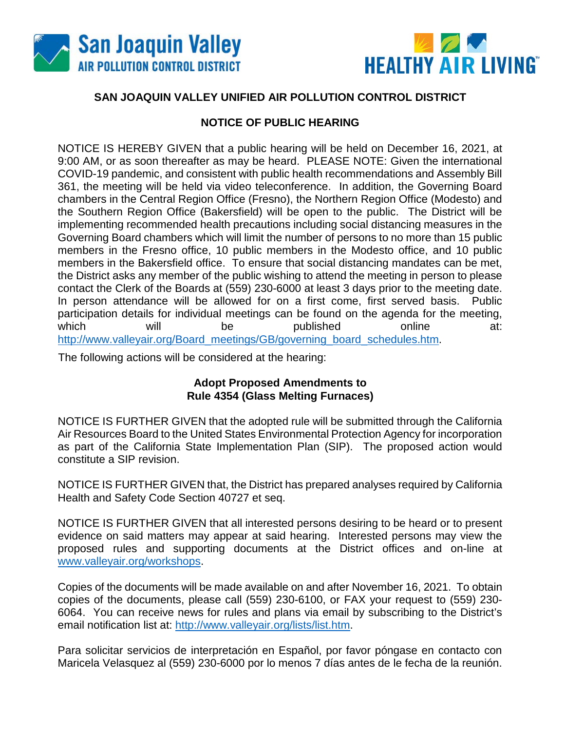



## **SAN JOAQUIN VALLEY UNIFIED AIR POLLUTION CONTROL DISTRICT**

### **NOTICE OF PUBLIC HEARING**

NOTICE IS HEREBY GIVEN that a public hearing will be held on December 16, 2021, at 9:00 AM, or as soon thereafter as may be heard. PLEASE NOTE: Given the international COVID-19 pandemic, and consistent with public health recommendations and Assembly Bill 361, the meeting will be held via video teleconference. In addition, the Governing Board chambers in the Central Region Office (Fresno), the Northern Region Office (Modesto) and the Southern Region Office (Bakersfield) will be open to the public. The District will be implementing recommended health precautions including social distancing measures in the Governing Board chambers which will limit the number of persons to no more than 15 public members in the Fresno office, 10 public members in the Modesto office, and 10 public members in the Bakersfield office. To ensure that social distancing mandates can be met, the District asks any member of the public wishing to attend the meeting in person to please contact the Clerk of the Boards at (559) 230-6000 at least 3 days prior to the meeting date. In person attendance will be allowed for on a first come, first served basis. Public participation details for individual meetings can be found on the agenda for the meeting, which will be published online at: [http://www.valleyair.org/Board\\_meetings/GB/governing\\_board\\_schedules.htm.](http://www.valleyair.org/Board_meetings/GB/governing_board_schedules.htm)

The following actions will be considered at the hearing:

#### **Adopt Proposed Amendments to Rule 4354 (Glass Melting Furnaces)**

NOTICE IS FURTHER GIVEN that the adopted rule will be submitted through the California Air Resources Board to the United States Environmental Protection Agency for incorporation as part of the California State Implementation Plan (SIP). The proposed action would constitute a SIP revision.

NOTICE IS FURTHER GIVEN that, the District has prepared analyses required by California Health and Safety Code Section 40727 et seq.

NOTICE IS FURTHER GIVEN that all interested persons desiring to be heard or to present evidence on said matters may appear at said hearing. Interested persons may view the proposed rules and supporting documents at the District offices and on-line at [www.valleyair.org/workshops.](http://www.valleyair.org/workshops)

Copies of the documents will be made available on and after November 16, 2021. To obtain copies of the documents, please call (559) 230-6100, or FAX your request to (559) 230- 6064. You can receive news for rules and plans via email by subscribing to the District's email notification list at: [http://www.valleyair.org/lists/list.htm.](http://www.valleyair.org/lists/list.htm)

Para solicitar servicios de interpretación en Español, por favor póngase en contacto con Maricela Velasquez al (559) 230-6000 por lo menos 7 días antes de le fecha de la reunión.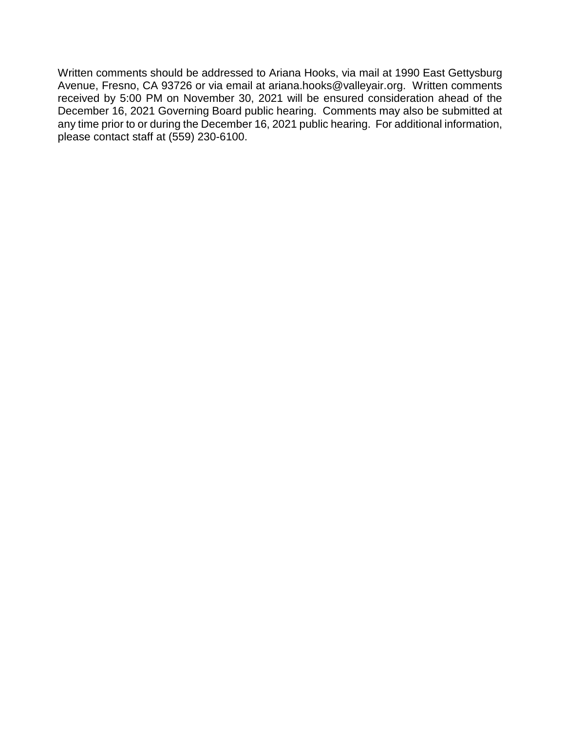Written comments should be addressed to Ariana Hooks, via mail at 1990 East Gettysburg Avenue, Fresno, CA 93726 or via email at ariana.hooks@valleyair.org. Written comments received by 5:00 PM on November 30, 2021 will be ensured consideration ahead of the December 16, 2021 Governing Board public hearing. Comments may also be submitted at any time prior to or during the December 16, 2021 public hearing. For additional information, please contact staff at (559) 230-6100.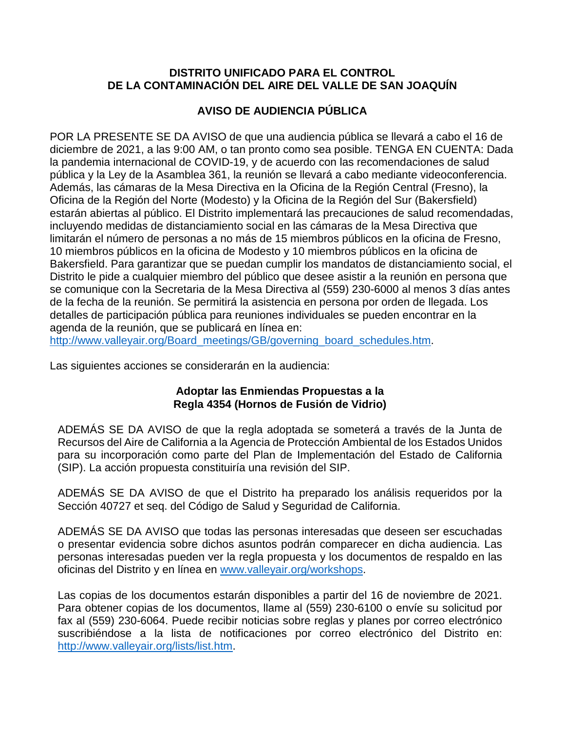#### **DISTRITO UNIFICADO PARA EL CONTROL DE LA CONTAMINACIÓN DEL AIRE DEL VALLE DE SAN JOAQUÍN**

# **AVISO DE AUDIENCIA PÚBLICA**

POR LA PRESENTE SE DA AVISO de que una audiencia pública se llevará a cabo el 16 de diciembre de 2021, a las 9:00 AM, o tan pronto como sea posible. TENGA EN CUENTA: Dada la pandemia internacional de COVID-19, y de acuerdo con las recomendaciones de salud pública y la Ley de la Asamblea 361, la reunión se llevará a cabo mediante videoconferencia. Además, las cámaras de la Mesa Directiva en la Oficina de la Región Central (Fresno), la Oficina de la Región del Norte (Modesto) y la Oficina de la Región del Sur (Bakersfield) estarán abiertas al público. El Distrito implementará las precauciones de salud recomendadas, incluyendo medidas de distanciamiento social en las cámaras de la Mesa Directiva que limitarán el número de personas a no más de 15 miembros públicos en la oficina de Fresno, 10 miembros públicos en la oficina de Modesto y 10 miembros públicos en la oficina de Bakersfield. Para garantizar que se puedan cumplir los mandatos de distanciamiento social, el Distrito le pide a cualquier miembro del público que desee asistir a la reunión en persona que se comunique con la Secretaria de la Mesa Directiva al (559) 230-6000 al menos 3 días antes de la fecha de la reunión. Se permitirá la asistencia en persona por orden de llegada. Los detalles de participación pública para reuniones individuales se pueden encontrar en la agenda de la reunión, que se publicará en línea en:

[http://www.valleyair.org/Board\\_meetings/GB/governing\\_board\\_schedules.htm.](http://www.valleyair.org/Board_meetings/GB/governing_board_schedules.htm)

Las siguientes acciones se considerarán en la audiencia:

#### **Adoptar las Enmiendas Propuestas a la Regla 4354 (Hornos de Fusión de Vidrio)**

ADEMÁS SE DA AVISO de que la regla adoptada se someterá a través de la Junta de Recursos del Aire de California a la Agencia de Protección Ambiental de los Estados Unidos para su incorporación como parte del Plan de Implementación del Estado de California (SIP). La acción propuesta constituiría una revisión del SIP.

ADEMÁS SE DA AVISO de que el Distrito ha preparado los análisis requeridos por la Sección 40727 et seq. del Código de Salud y Seguridad de California.

ADEMÁS SE DA AVISO que todas las personas interesadas que deseen ser escuchadas o presentar evidencia sobre dichos asuntos podrán comparecer en dicha audiencia. Las personas interesadas pueden ver la regla propuesta y los documentos de respaldo en las oficinas del Distrito y en línea en [www.valleyair.org/workshops.](http://www.valleyair.org/workshops)

Las copias de los documentos estarán disponibles a partir del 16 de noviembre de 2021. Para obtener copias de los documentos, llame al (559) 230-6100 o envíe su solicitud por fax al (559) 230-6064. Puede recibir noticias sobre reglas y planes por correo electrónico suscribiéndose a la lista de notificaciones por correo electrónico del Distrito en: [http://www.valleyair.org/lists/list.htm.](http://www.valleyair.org/lists/list.htm)